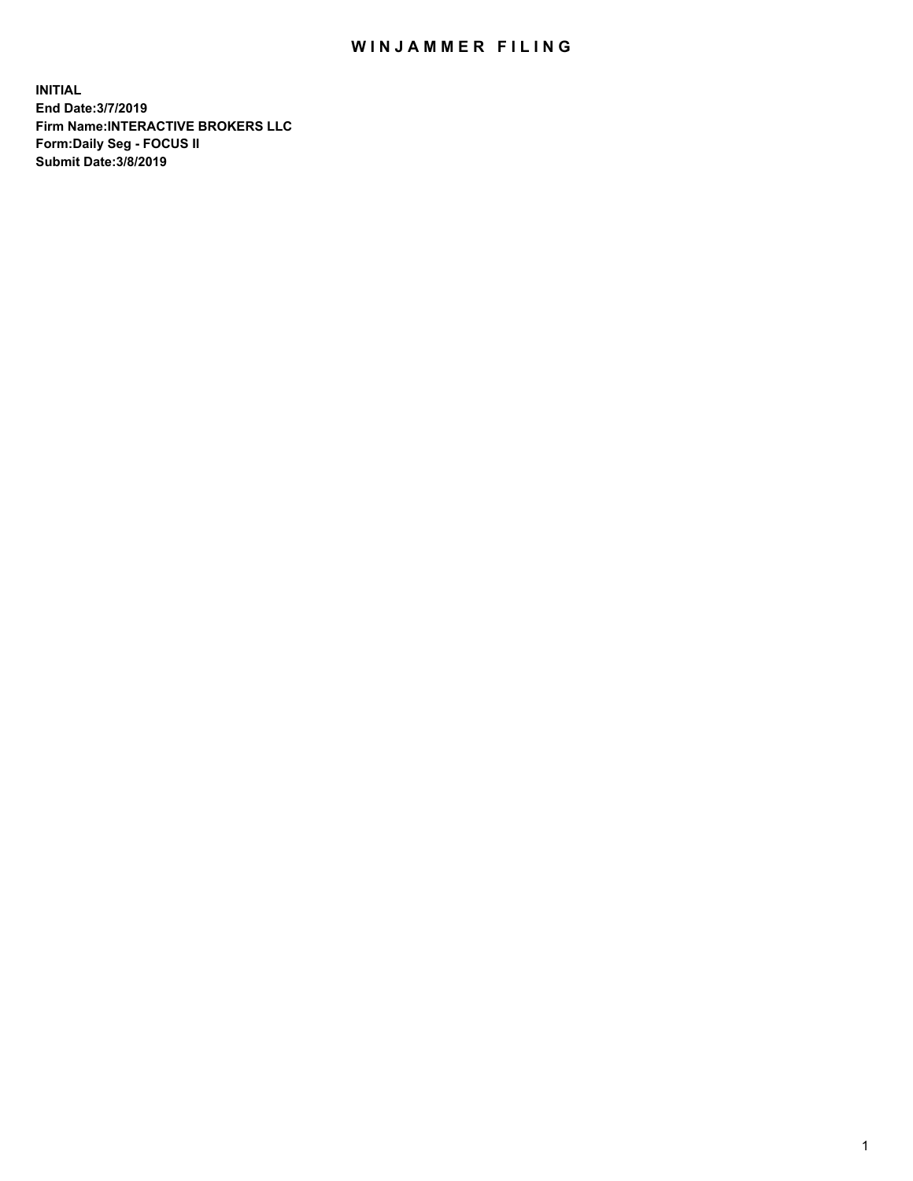## WIN JAMMER FILING

**INITIAL End Date:3/7/2019 Firm Name:INTERACTIVE BROKERS LLC Form:Daily Seg - FOCUS II Submit Date:3/8/2019**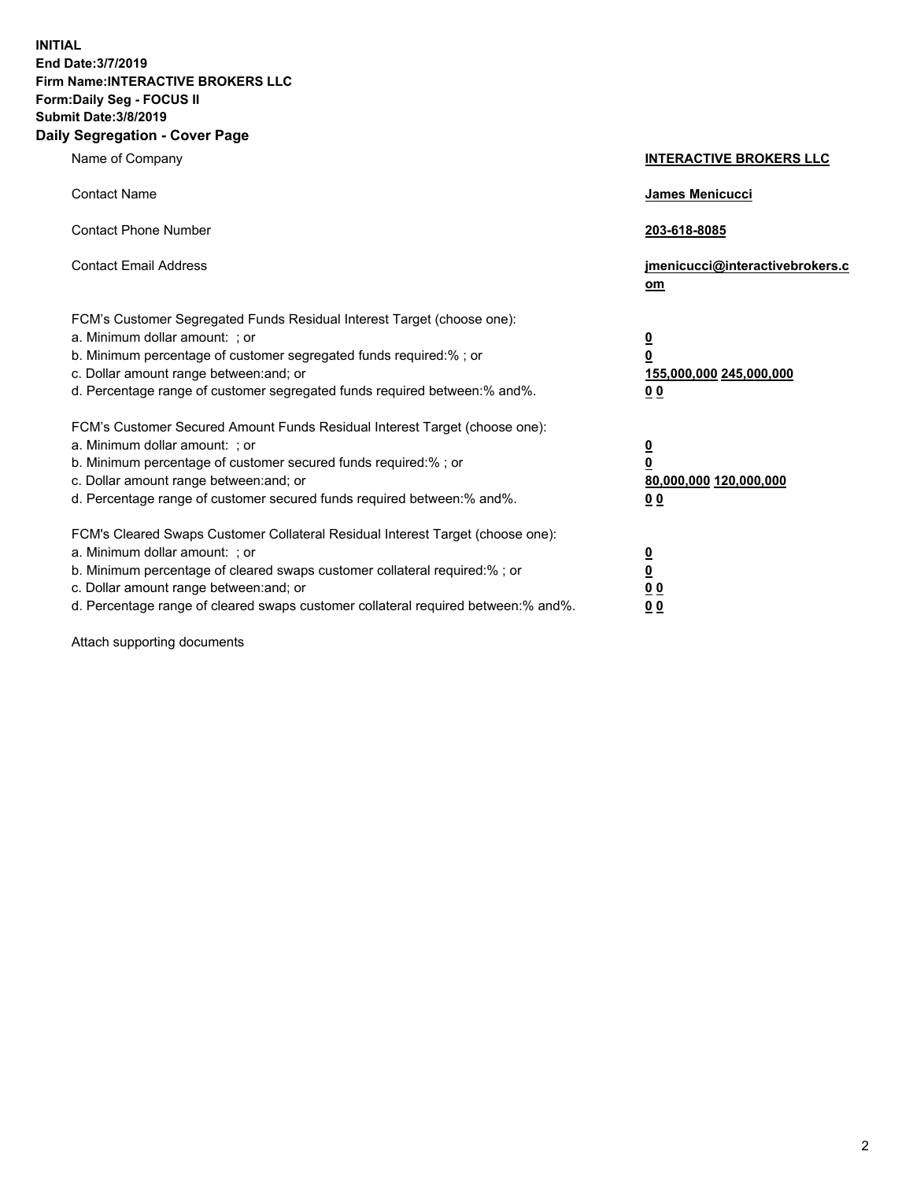**INITIAL End Date:3/7/2019 Firm Name:INTERACTIVE BROKERS LLC Form:Daily Seg - FOCUS II Submit Date:3/8/2019 Daily Segregation - Cover Page**

| Name of Company                                                                                                                                                                                                                                                                                                                | <b>INTERACTIVE BROKERS LLC</b>                                                      |
|--------------------------------------------------------------------------------------------------------------------------------------------------------------------------------------------------------------------------------------------------------------------------------------------------------------------------------|-------------------------------------------------------------------------------------|
| <b>Contact Name</b>                                                                                                                                                                                                                                                                                                            | James Menicucci                                                                     |
| <b>Contact Phone Number</b>                                                                                                                                                                                                                                                                                                    | 203-618-8085                                                                        |
| <b>Contact Email Address</b>                                                                                                                                                                                                                                                                                                   | jmenicucci@interactivebrokers.c<br>om                                               |
| FCM's Customer Segregated Funds Residual Interest Target (choose one):<br>a. Minimum dollar amount: ; or<br>b. Minimum percentage of customer segregated funds required:% ; or<br>c. Dollar amount range between: and; or<br>d. Percentage range of customer segregated funds required between:% and%.                         | $\overline{\mathbf{0}}$<br>$\overline{\mathbf{0}}$<br>155,000,000 245,000,000<br>00 |
| FCM's Customer Secured Amount Funds Residual Interest Target (choose one):<br>a. Minimum dollar amount: ; or<br>b. Minimum percentage of customer secured funds required:% ; or<br>c. Dollar amount range between: and; or<br>d. Percentage range of customer secured funds required between:% and%.                           | $\overline{\mathbf{0}}$<br>$\pmb{0}$<br>80,000,000 120,000,000<br>00                |
| FCM's Cleared Swaps Customer Collateral Residual Interest Target (choose one):<br>a. Minimum dollar amount: ; or<br>b. Minimum percentage of cleared swaps customer collateral required:% ; or<br>c. Dollar amount range between: and; or<br>d. Percentage range of cleared swaps customer collateral required between:% and%. | $\overline{\mathbf{0}}$<br>$\underline{\mathbf{0}}$<br>0 <sub>0</sub><br>00         |

Attach supporting documents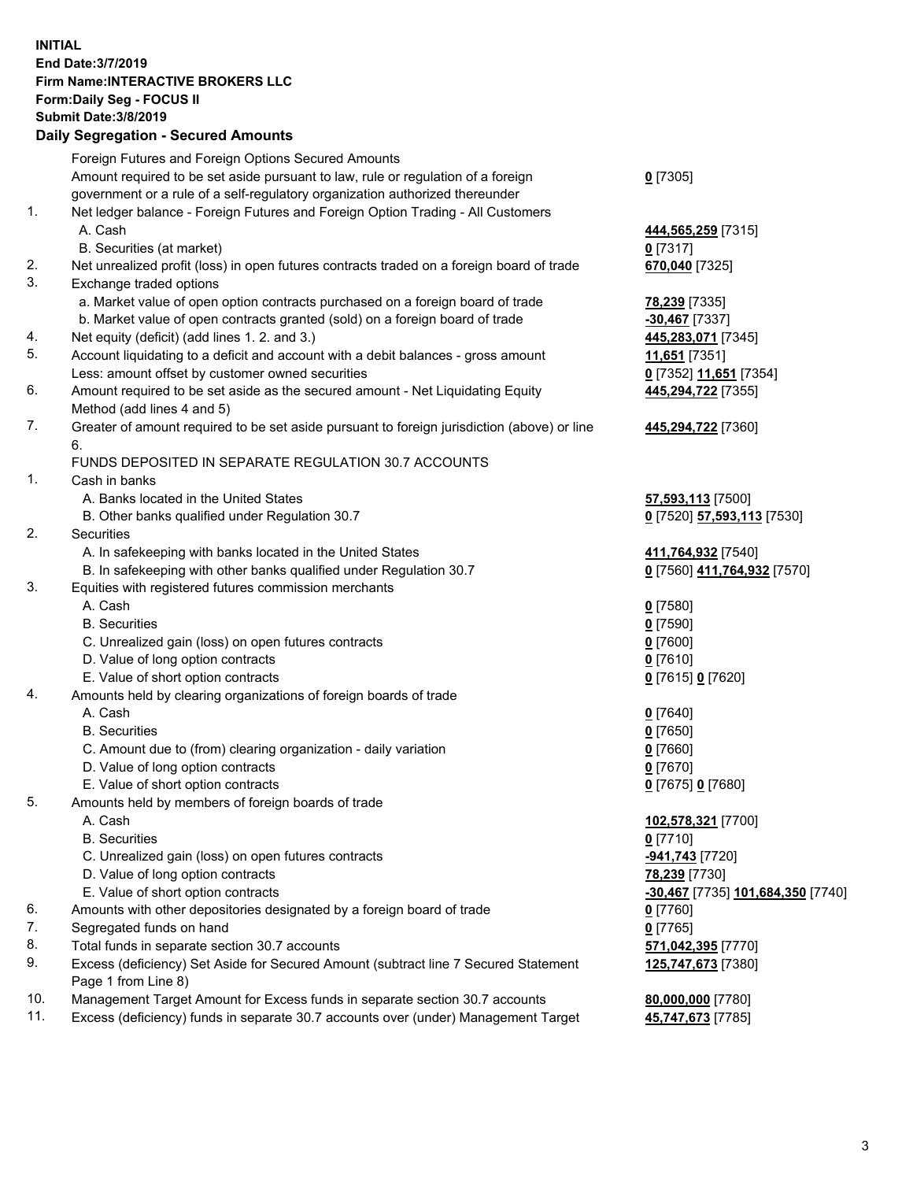## **INITIAL End Date:3/7/2019 Firm Name:INTERACTIVE BROKERS LLC Form:Daily Seg - FOCUS II Submit Date:3/8/2019 Daily Segregation - Secured Amounts**

|     | Dany Ocgi cyation - Occurea Aniounts                                                                       |                                   |
|-----|------------------------------------------------------------------------------------------------------------|-----------------------------------|
|     | Foreign Futures and Foreign Options Secured Amounts                                                        |                                   |
|     | Amount required to be set aside pursuant to law, rule or regulation of a foreign                           | $0$ [7305]                        |
|     | government or a rule of a self-regulatory organization authorized thereunder                               |                                   |
| 1.  | Net ledger balance - Foreign Futures and Foreign Option Trading - All Customers                            |                                   |
|     | A. Cash                                                                                                    | 444,565,259 [7315]                |
|     | B. Securities (at market)                                                                                  | $0$ [7317]                        |
| 2.  | Net unrealized profit (loss) in open futures contracts traded on a foreign board of trade                  | 670,040 [7325]                    |
| 3.  | Exchange traded options                                                                                    |                                   |
|     | a. Market value of open option contracts purchased on a foreign board of trade                             | 78,239 [7335]                     |
|     | b. Market value of open contracts granted (sold) on a foreign board of trade                               | $-30,467$ [7337]                  |
| 4.  | Net equity (deficit) (add lines 1. 2. and 3.)                                                              | 445,283,071 [7345]                |
| 5.  | Account liquidating to a deficit and account with a debit balances - gross amount                          | 11,651 [7351]                     |
|     | Less: amount offset by customer owned securities                                                           | 0 [7352] 11,651 [7354]            |
| 6.  | Amount required to be set aside as the secured amount - Net Liquidating Equity                             | 445,294,722 [7355]                |
|     | Method (add lines 4 and 5)                                                                                 |                                   |
| 7.  | Greater of amount required to be set aside pursuant to foreign jurisdiction (above) or line                | 445,294,722 [7360]                |
|     | 6.                                                                                                         |                                   |
|     | FUNDS DEPOSITED IN SEPARATE REGULATION 30.7 ACCOUNTS                                                       |                                   |
| 1.  | Cash in banks                                                                                              |                                   |
|     | A. Banks located in the United States                                                                      | 57,593,113 [7500]                 |
|     | B. Other banks qualified under Regulation 30.7                                                             | 0 [7520] 57,593,113 [7530]        |
| 2.  | Securities                                                                                                 |                                   |
|     | A. In safekeeping with banks located in the United States                                                  | 411,764,932 [7540]                |
|     | B. In safekeeping with other banks qualified under Regulation 30.7                                         | 0 [7560] 411,764,932 [7570]       |
| 3.  | Equities with registered futures commission merchants                                                      |                                   |
|     | A. Cash                                                                                                    | $0$ [7580]                        |
|     | <b>B.</b> Securities                                                                                       | $0$ [7590]                        |
|     | C. Unrealized gain (loss) on open futures contracts                                                        | $0$ [7600]                        |
|     | D. Value of long option contracts                                                                          | $0$ [7610]                        |
|     | E. Value of short option contracts                                                                         | 0 [7615] 0 [7620]                 |
| 4.  | Amounts held by clearing organizations of foreign boards of trade                                          |                                   |
|     | A. Cash                                                                                                    | $0$ [7640]                        |
|     | <b>B.</b> Securities                                                                                       | $0$ [7650]                        |
|     | C. Amount due to (from) clearing organization - daily variation                                            | $0$ [7660]                        |
|     | D. Value of long option contracts                                                                          | $0$ [7670]                        |
|     | E. Value of short option contracts                                                                         | 0 [7675] 0 [7680]                 |
| 5.  | Amounts held by members of foreign boards of trade                                                         |                                   |
|     | A. Cash                                                                                                    | 102,578,321 [7700]                |
|     | <b>B.</b> Securities                                                                                       | $0$ [7710]                        |
|     | C. Unrealized gain (loss) on open futures contracts                                                        | -941,743 [7720]                   |
|     | D. Value of long option contracts                                                                          | 78,239 [7730]                     |
|     | E. Value of short option contracts                                                                         | -30,467 [7735] 101,684,350 [7740] |
| 6.  | Amounts with other depositories designated by a foreign board of trade                                     | 0 [7760]                          |
| 7.  | Segregated funds on hand                                                                                   | $0$ [7765]                        |
| 8.  | Total funds in separate section 30.7 accounts                                                              | 571,042,395 [7770]                |
| 9.  | Excess (deficiency) Set Aside for Secured Amount (subtract line 7 Secured Statement<br>Page 1 from Line 8) | 125,747,673 [7380]                |
| 10. | Management Target Amount for Excess funds in separate section 30.7 accounts                                | 80,000,000 [7780]                 |
| 11. | Excess (deficiency) funds in separate 30.7 accounts over (under) Management Target                         | 45,747,673 [7785]                 |
|     |                                                                                                            |                                   |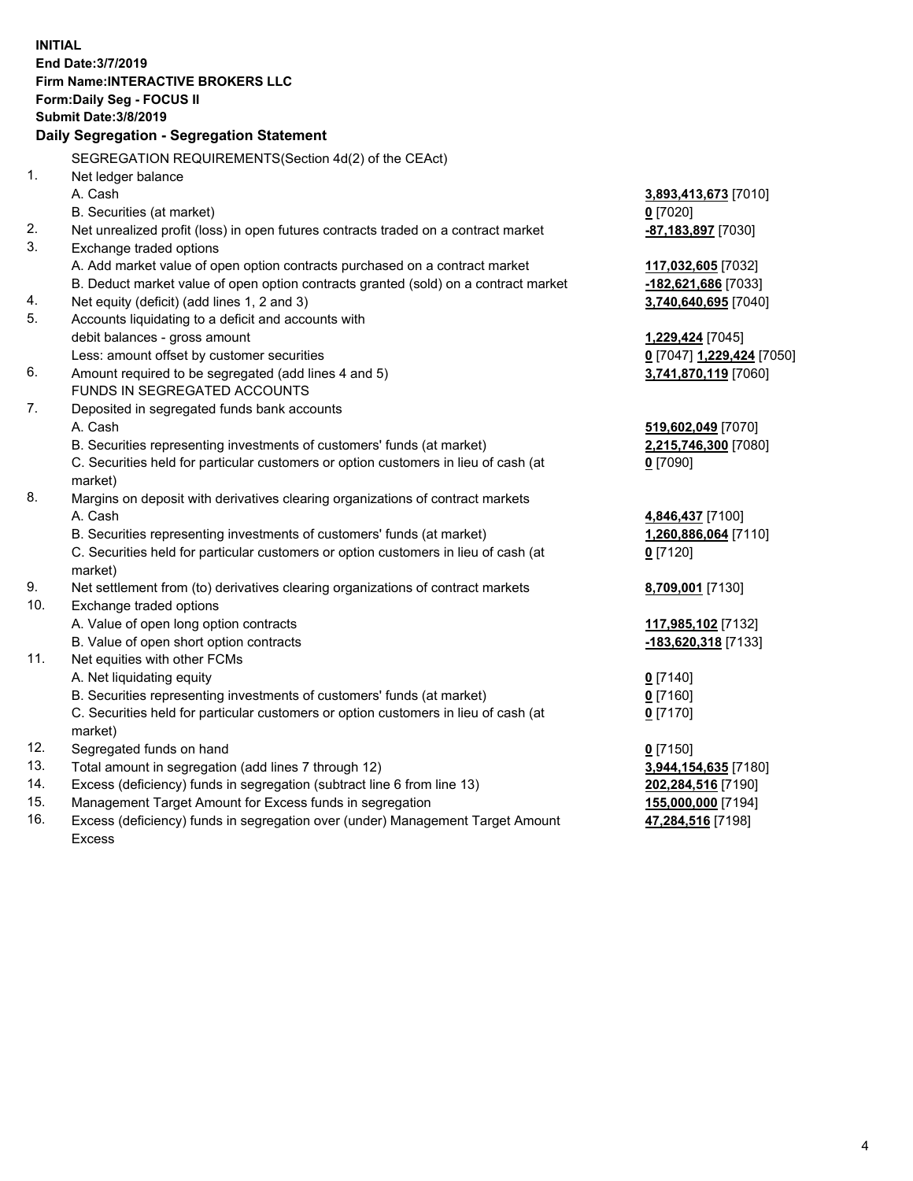**INITIAL End Date:3/7/2019 Firm Name:INTERACTIVE BROKERS LLC Form:Daily Seg - FOCUS II Submit Date:3/8/2019 Daily Segregation - Segregation Statement** SEGREGATION REQUIREMENTS(Section 4d(2) of the CEAct) 1. Net ledger balance A. Cash **3,893,413,673** [7010] B. Securities (at market) **0** [7020] 2. Net unrealized profit (loss) in open futures contracts traded on a contract market **-87,183,897** [7030] 3. Exchange traded options A. Add market value of open option contracts purchased on a contract market **117,032,605** [7032] B. Deduct market value of open option contracts granted (sold) on a contract market **-182,621,686** [7033] 4. Net equity (deficit) (add lines 1, 2 and 3) **3,740,640,695** [7040] 5. Accounts liquidating to a deficit and accounts with debit balances - gross amount **1,229,424** [7045] Less: amount offset by customer securities **0** [7047] **1,229,424** [7050] 6. Amount required to be segregated (add lines 4 and 5) **3,741,870,119** [7060] FUNDS IN SEGREGATED ACCOUNTS 7. Deposited in segregated funds bank accounts A. Cash **519,602,049** [7070] B. Securities representing investments of customers' funds (at market) **2,215,746,300** [7080] C. Securities held for particular customers or option customers in lieu of cash (at market) **0** [7090] 8. Margins on deposit with derivatives clearing organizations of contract markets A. Cash **4,846,437** [7100] B. Securities representing investments of customers' funds (at market) **1,260,886,064** [7110] C. Securities held for particular customers or option customers in lieu of cash (at market) **0** [7120] 9. Net settlement from (to) derivatives clearing organizations of contract markets **8,709,001** [7130] 10. Exchange traded options A. Value of open long option contracts **117,985,102** [7132] B. Value of open short option contracts **-183,620,318** [7133] 11. Net equities with other FCMs A. Net liquidating equity **0** [7140] B. Securities representing investments of customers' funds (at market) **0** [7160] C. Securities held for particular customers or option customers in lieu of cash (at market) **0** [7170] 12. Segregated funds on hand **0** [7150] 13. Total amount in segregation (add lines 7 through 12) **3,944,154,635** [7180] 14. Excess (deficiency) funds in segregation (subtract line 6 from line 13) **202,284,516** [7190] 15. Management Target Amount for Excess funds in segregation **155,000,000** [7194]

16. Excess (deficiency) funds in segregation over (under) Management Target Amount Excess

**47,284,516** [7198]